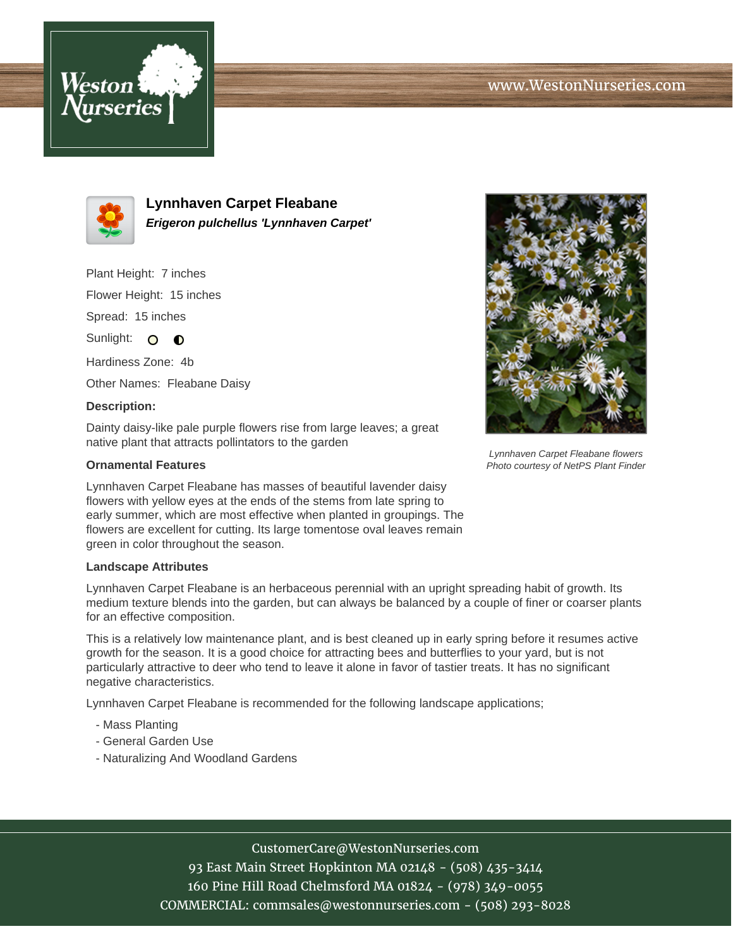



**Lynnhaven Carpet Fleabane Erigeron pulchellus 'Lynnhaven Carpet'**

Plant Height: 7 inches

Flower Height: 15 inches

Spread: 15 inches

Sunlight: O **O** 

Hardiness Zone: 4b

Other Names: Fleabane Daisy

## **Description:**

Dainty daisy-like pale purple flowers rise from large leaves; a great native plant that attracts pollintators to the garden

## **Ornamental Features**

Lynnhaven Carpet Fleabane has masses of beautiful lavender daisy flowers with yellow eyes at the ends of the stems from late spring to early summer, which are most effective when planted in groupings. The flowers are excellent for cutting. Its large tomentose oval leaves remain green in color throughout the season.

## **Landscape Attributes**

Lynnhaven Carpet Fleabane is an herbaceous perennial with an upright spreading habit of growth. Its medium texture blends into the garden, but can always be balanced by a couple of finer or coarser plants for an effective composition.

This is a relatively low maintenance plant, and is best cleaned up in early spring before it resumes active growth for the season. It is a good choice for attracting bees and butterflies to your yard, but is not particularly attractive to deer who tend to leave it alone in favor of tastier treats. It has no significant negative characteristics.

Lynnhaven Carpet Fleabane is recommended for the following landscape applications;

- Mass Planting
- General Garden Use
- Naturalizing And Woodland Gardens



93 East Main Street Hopkinton MA 02148 - (508) 435-3414 160 Pine Hill Road Chelmsford MA 01824 - (978) 349-0055 COMMERCIAL: commsales@westonnurseries.com - (508) 293-8028



Lynnhaven Carpet Fleabane flowers Photo courtesy of NetPS Plant Finder